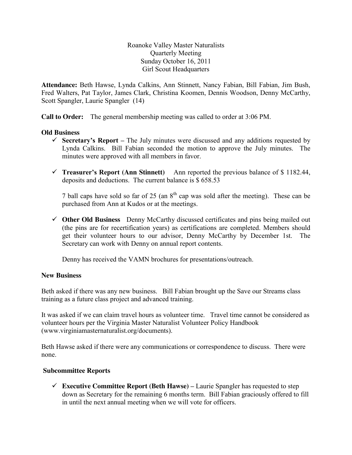Roanoke Valley Master Naturalists Quarterly Meeting Sunday October 16, 2011 Girl Scout Headquarters

**Attendance:** Beth Hawse, Lynda Calkins, Ann Stinnett, Nancy Fabian, Bill Fabian, Jim Bush, Fred Walters, Pat Taylor, James Clark, Christina Koomen, Dennis Woodson, Denny McCarthy, Scott Spangler, Laurie Spangler (14)

**Call to Order:** The general membership meeting was called to order at 3:06 PM.

# **Old Business**

- **Secretary's Report –** The July minutes were discussed and any additions requested by Lynda Calkins. Bill Fabian seconded the motion to approve the July minutes. The minutes were approved with all members in favor.
- **Treasurer's Report (Ann Stinnett)** Ann reported the previous balance of \$ 1182.44, deposits and deductions. The current balance is \$ 658.53

7 ball caps have sold so far of 25 (an  $8<sup>th</sup>$  cap was sold after the meeting). These can be purchased from Ann at Kudos or at the meetings.

 **Other Old Business** Denny McCarthy discussed certificates and pins being mailed out (the pins are for recertification years) as certifications are completed. Members should get their volunteer hours to our advisor, Denny McCarthy by December 1st. The Secretary can work with Denny on annual report contents.

Denny has received the VAMN brochures for presentations/outreach.

### **New Business**

Beth asked if there was any new business. Bill Fabian brought up the Save our Streams class training as a future class project and advanced training.

It was asked if we can claim travel hours as volunteer time. Travel time cannot be considered as volunteer hours per the Virginia Master Naturalist Volunteer Policy Handbook (www.virginiamasternaturalist.org/documents).

Beth Hawse asked if there were any communications or correspondence to discuss. There were none.

### **Subcommittee Reports**

**Executive Committee Report (Beth Hawse) – Laurie Spangler has requested to step** down as Secretary for the remaining 6 months term. Bill Fabian graciously offered to fill in until the next annual meeting when we will vote for officers.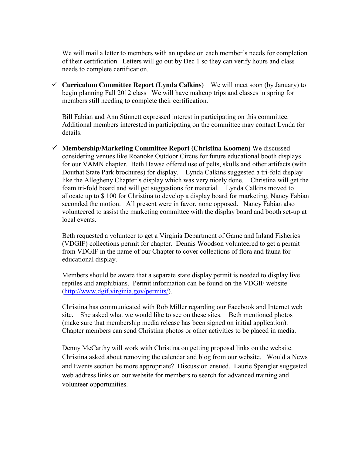We will mail a letter to members with an update on each member's needs for completion of their certification. Letters will go out by Dec 1 so they can verify hours and class needs to complete certification.

 **Curriculum Committee Report (Lynda Calkins)** We will meet soon (by January) to begin planning Fall 2012 class We will have makeup trips and classes in spring for members still needing to complete their certification.

Bill Fabian and Ann Stinnett expressed interest in participating on this committee. Additional members interested in participating on the committee may contact Lynda for details.

 **Membership/Marketing Committee Report (Christina Koomen)** We discussed considering venues like Roanoke Outdoor Circus for future educational booth displays for our VAMN chapter. Beth Hawse offered use of pelts, skulls and other artifacts (with Douthat State Park brochures) for display. Lynda Calkins suggested a tri-fold display like the Allegheny Chapter's display which was very nicely done. Christina will get the foam tri-fold board and will get suggestions for material. Lynda Calkins moved to allocate up to \$ 100 for Christina to develop a display board for marketing, Nancy Fabian seconded the motion. All present were in favor, none opposed. Nancy Fabian also volunteered to assist the marketing committee with the display board and booth set-up at local events.

Beth requested a volunteer to get a Virginia Department of Game and Inland Fisheries (VDGIF) collections permit for chapter. Dennis Woodson volunteered to get a permit from VDGIF in the name of our Chapter to cover collections of flora and fauna for educational display.

Members should be aware that a separate state display permit is needed to display live reptiles and amphibians. Permit information can be found on the VDGIF website (http://www.dgif.virginia.gov/permits/).

Christina has communicated with Rob Miller regarding our Facebook and Internet web site. She asked what we would like to see on these sites. Beth mentioned photos (make sure that membership media release has been signed on initial application). Chapter members can send Christina photos or other activities to be placed in media.

Denny McCarthy will work with Christina on getting proposal links on the website. Christina asked about removing the calendar and blog from our website. Would a News and Events section be more appropriate? Discussion ensued. Laurie Spangler suggested web address links on our website for members to search for advanced training and volunteer opportunities.